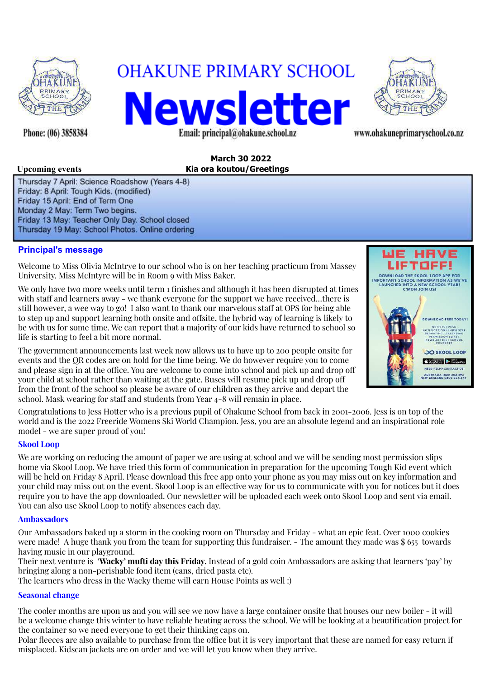

Phone: (06) 3858384

# **OHAKUNE PRIMARY SCHOOL** Newsletter

Email: principal@ohakune.school.nz



www.ohakuneprimaryschool.co.nz

#### **March 30 2022 Upcoming events Kia ora koutou/Greetings**

Thursday 7 April: Science Roadshow (Years 4-8) Friday: 8 April: Tough Kids. (modified) Friday 15 April: End of Term One Monday 2 May: Term Two begins. Friday 13 May: Teacher Only Day. School closed Thursday 19 May: School Photos. Online ordering

#### **Principal's message**

Welcome to Miss Olivia McIntrye to our school who is on her teaching practicum from Massey University. Miss McIntyre will be in Room 9 with Miss Baker.

We only have two more weeks until term 1 finishes and although it has been disrupted at times with staff and learners away - we thank everyone for the support we have received...there is still however, a wee way to go! I also want to thank our marvelous staff at OPS for being able to step up and support learning both onsite and offsite, the hybrid way of learning is likely to be with us for some time. We can report that a majority of our kids have returned to school so life is starting to feel a bit more normal.

The government announcements last week now allows us to have up to 200 people onsite for events and the QR codes are on hold for the time being. We do however require you to come and please sign in at the office. You are welcome to come into school and pick up and drop off your child at school rather than waiting at the gate. Buses will resume pick up and drop o from the front of the school so please be aware of our children as they arrive and depart the school. Mask wearing for staff and students from Year 4-8 will remain in place.

Congratulations to Jess Hotter who is a previous pupil of Ohakune School from back in 2001-2006. Jess is on top of the world and is the 2022 Freeride Womens Ski World Champion. Jess, you are an absolute legend and an inspirational role model - we are super proud of you!

#### **Skool Loop**

We are working on reducing the amount of paper we are using at school and we will be sending most permission slips home via Skool Loop. We have tried this form of communication in preparation for the upcoming Tough Kid event which will be held on Friday 8 April. Please download this free app onto your phone as you may miss out on key information and your child may miss out on the event. Skool Loop is an effective way for us to communicate with you for notices but it does require you to have the app downloaded. Our newsletter will be uploaded each week onto Skool Loop and sent via email. You can also use Skool Loop to notify absences each day.

#### **Ambassadors**

Our Ambassadors baked up a storm in the cooking room on Thursday and Friday - what an epic feat. Over 1000 cookies were made! A huge thank you from the team for supporting this fundraiser. - The amount they made was \$ 655 towards having music in our playground.

Their next venture is '**Wacky' mufti day this Friday.** Instead of a gold coin Ambassadors are asking that learners 'pay' by bringing along a non-perishable food item (cans, dried pasta etc).

The learners who dress in the Wacky theme will earn House Points as well :)

#### **Seasonal change**

The cooler months are upon us and you will see we now have a large container onsite that houses our new boiler - it will be a welcome change this winter to have reliable heating across the school. We will be looking at a beautification project for the container so we need everyone to get their thinking caps on.

Polar fleeces are also available to purchase from the office but it is very important that these are named for easy return if misplaced. Kidscan jackets are on order and we will let you know when they arrive.

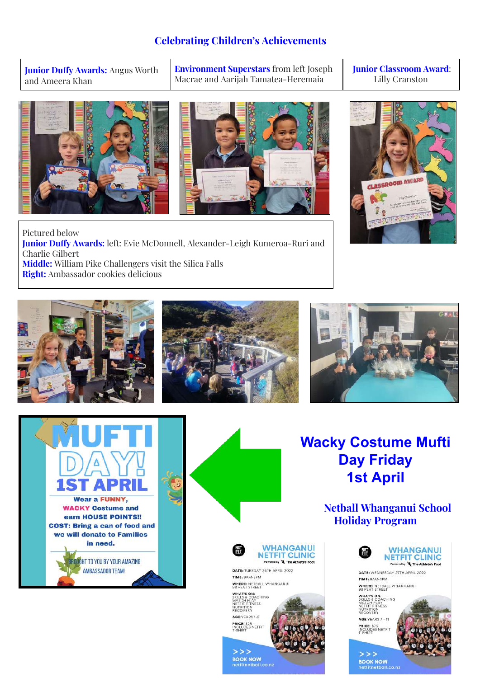### **Celebrating Children's Achievements**

**Junior Duffy Awards: Angus Worth** and Ameera Khan

**Environment Superstars** from left Joseph Macrae and Aarijah Tamatea-Heremaia

**Junior Classroom Award**: Lilly Cranston





Pictured below **Junior Duffy Awards:** left: Evie McDonnell, Alexander-Leigh Kumeroa-Ruri and Charlie Gilbert **Middle:** William Pike Challengers visit the Silica Falls **Right:** Ambassador cookies delicious











## **Wacky Costume Mufti Day Friday 1st April**

**Netball Whanganui School Holiday Program**

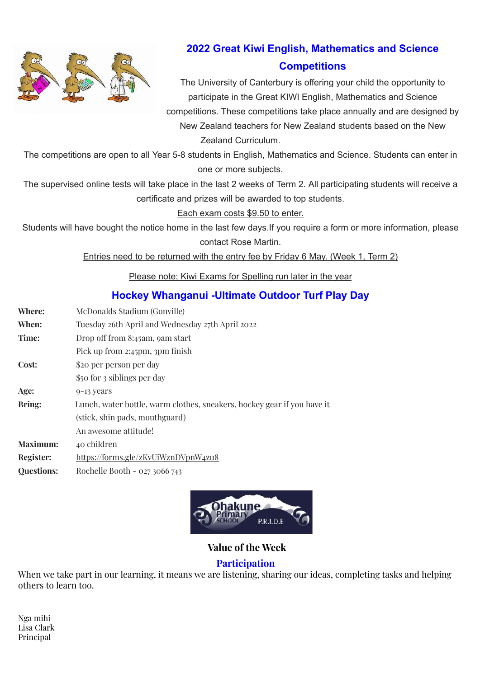

### **2022 Great Kiwi English, Mathematics and Science Competitions**

The University of Canterbury is offering your child the opportunity to participate in the Great KIWI English, Mathematics and Science competitions. These competitions take place annually and are designed by

New Zealand teachers for New Zealand students based on the New Zealand Curriculum.

The competitions are open to all Year 5-8 students in English, Mathematics and Science. Students can enter in one or more subjects.

The supervised online tests will take place in the last 2 weeks of Term 2. All participating students will receive a certificate and prizes will be awarded to top students.

#### Each exam costs \$9.50 to enter.

Students will have bought the notice home in the last few days.If you require a form or more information, please contact Rose Martin.

Entries need to be returned with the entry fee by Friday 6 May. (Week 1, Term 2)

Please note; Kiwi Exams for Spelling run later in the year

### **Hockey Whanganui -Ultimate Outdoor Turf Play Day**

- **Where:** McDonalds Stadium (Gonville)
- **When:** Tuesday 26th April and Wednesday 27th April 2022
- **Time:** Drop off from 8:45am, 9am start
- Pick up from 2:45pm, 3pm finish
- **Cost:** \$20 per person per day
- \$50 for 3 siblings per day
- Age:  $9-13$  years
- **Bring:** Lunch, water bottle, warm clothes, sneakers, hockey gear if you have it
	- (stick, shin pads, mouthguard)
		- An awesome attitude!
- **Maximum:** 40 children
- **Register:** <https://forms.gle/zKvUiWznDVpnW4zu8>
- **Questions:** Rochelle Booth 027 3066 743



### **Value of the Week**

#### **Participation**

When we take part in our learning, it means we are listening, sharing our ideas, completing tasks and helping others to learn too.

Nga mihi Lisa Clark Principal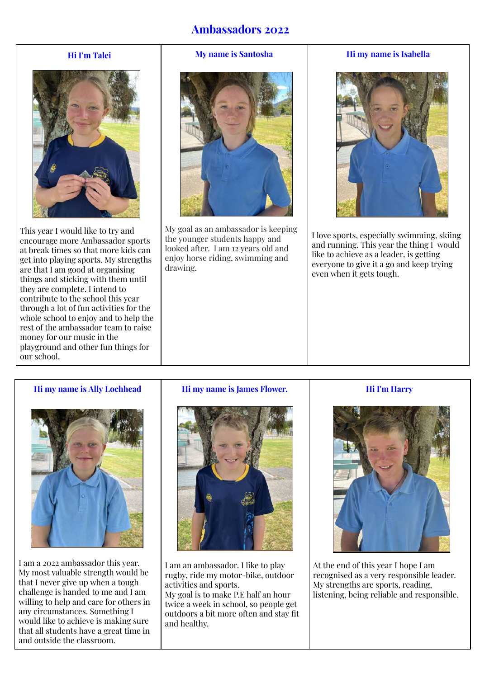### **Ambassadors 2022**

#### **Hi I'm Talei**



This year I would like to try and encourage more Ambassador sports at break times so that more kids can get into playing sports. My strengths are that I am good at organising things and sticking with them until they are complete. I intend to contribute to the school this year through a lot of fun activities for the whole school to enjoy and to help the rest of the ambassador team to raise money for our music in the playground and other fun things for our school.

#### **My name is Santosha**



My goal as an ambassador is keeping the younger students happy and looked after. I am 12 years old and enjoy horse riding, swimming and drawing.

#### **Hi my name is Isabella**



I love sports, especially swimming, skiing and running. This year the thing I would like to achieve as a leader, is getting everyone to give it a go and keep trying even when it gets tough.

#### **Hi my name is Ally Lochhead**



I am a 2022 ambassador this year. My most valuable strength would be that I never give up when a tough challenge is handed to me and I am willing to help and care for others in any circumstances. Something I would like to achieve is making sure that all students have a great time in and outside the classroom.

#### **Hi my name is James Flower.**



I am an ambassador. I like to play rugby, ride my motor-bike, outdoor activities and sports.

My goal is to make P.E half an hour twice a week in school, so people get outdoors a bit more often and stay fit and healthy.

#### **Hi I'm Harry**



At the end of this year I hope I am recognised as a very responsible leader. My strengths are sports, reading, listening, being reliable and responsible.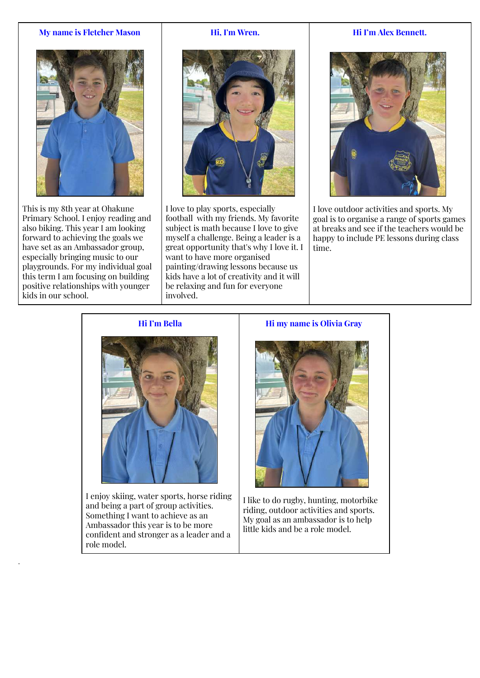#### **My name is Fletcher Mason**



This is my 8th year at Ohakune Primary School. I enjoy reading and also biking. This year I am looking forward to achieving the goals we have set as an Ambassador group, especially bringing music to our playgrounds. For my individual goal this term I am focusing on building positive relationships with younger kids in our school.

.

#### **Hi, I'm Wren.**



I love to play sports, especially football with my friends. My favorite subject is math because I love to give myself a challenge. Being a leader is a great opportunity that's why I love it. I want to have more organised painting/drawing lessons because us kids have a lot of creativity and it will be relaxing and fun for everyone involved.

#### **Hi I'm Alex Bennett.**



I love outdoor activities and sports. My goal is to organise a range of sports games at breaks and see if the teachers would be happy to include PE lessons during class time.

#### **Hi I'm Bella**



I enjoy skiing, water sports, horse riding and being a part of group activities. Something I want to achieve as an Ambassador this year is to be more confident and stronger as a leader and a role model.

#### **Hi my name is Olivia Gray**



I like to do rugby, hunting, motorbike riding, outdoor activities and sports. My goal as an ambassador is to help little kids and be a role model.